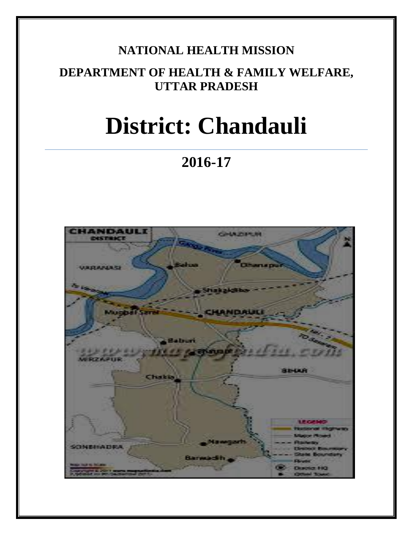# **NATIONAL HEALTH MISSION**

# **DEPARTMENT OF HEALTH & FAMILY WELFARE, UTTAR PRADESH**

# **District: Chandauli**

# **2016-17**

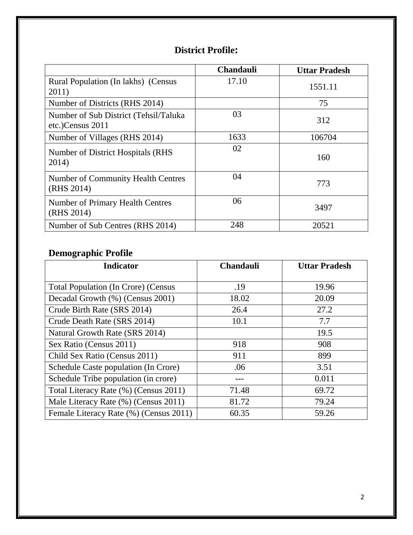## **District Profile:**

|                                                           | <b>Chandauli</b> | <b>Uttar Pradesh</b> |
|-----------------------------------------------------------|------------------|----------------------|
| Rural Population (In lakhs) (Census<br>2011)              | 17.10            | 1551.11              |
| Number of Districts (RHS 2014)                            |                  | 75                   |
| Number of Sub District (Tehsil/Taluka<br>etc.)Census 2011 | 03               | 312                  |
| Number of Villages (RHS 2014)                             | 1633             | 106704               |
| Number of District Hospitals (RHS)<br>2014)               | 02               | 160                  |
| <b>Number of Community Health Centres</b><br>(RHS 2014)   | 04               | 773                  |
| Number of Primary Health Centres<br>(RHS 2014)            | 06               | 3497                 |
| Number of Sub Centres (RHS 2014)                          | 248              | 20521                |

## **Demographic Profile**

| <b>Indicator</b>                           | <b>Chandauli</b> | <b>Uttar Pradesh</b> |
|--------------------------------------------|------------------|----------------------|
|                                            |                  |                      |
| <b>Total Population (In Crore) (Census</b> | .19              | 19.96                |
| Decadal Growth (%) (Census 2001)           | 18.02            | 20.09                |
| Crude Birth Rate (SRS 2014)                | 26.4             | 27.2                 |
| Crude Death Rate (SRS 2014)                | 10.1             | 7.7                  |
| Natural Growth Rate (SRS 2014)             |                  | 19.5                 |
| Sex Ratio (Census 2011)                    | 918              | 908                  |
| Child Sex Ratio (Census 2011)              | 911              | 899                  |
| Schedule Caste population (In Crore)       | .06              | 3.51                 |
| Schedule Tribe population (in crore)       |                  | 0.011                |
| Total Literacy Rate (%) (Census 2011)      | 71.48            | 69.72                |
| Male Literacy Rate (%) (Census 2011)       | 81.72            | 79.24                |
| Female Literacy Rate (%) (Census 2011)     | 60.35            | 59.26                |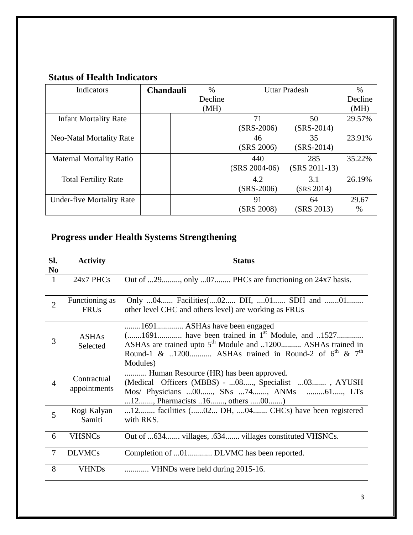## **Status of Health Indicators**

| Indicators                       | <b>Chandauli</b> |  | $\%$    | <b>Uttar Pradesh</b> |                 | $\%$          |
|----------------------------------|------------------|--|---------|----------------------|-----------------|---------------|
|                                  |                  |  | Decline |                      |                 | Decline       |
|                                  |                  |  | (MH)    |                      |                 | (MH)          |
| <b>Infant Mortality Rate</b>     |                  |  |         | 71                   | 50              | 29.57%        |
|                                  |                  |  |         | $(SRS-2006)$         | $(SRS-2014)$    |               |
| Neo-Natal Mortality Rate         |                  |  |         | 46                   | 35              | 23.91%        |
|                                  |                  |  |         | (SRS 2006)           | $(SRS-2014)$    |               |
| <b>Maternal Mortality Ratio</b>  |                  |  |         | 440                  | 285             | 35.22%        |
|                                  |                  |  |         | (SRS 2004-06)        | $(SRS 2011-13)$ |               |
| <b>Total Fertility Rate</b>      |                  |  |         | 4.2                  | 3.1             | 26.19%        |
|                                  |                  |  |         | $(SRS-2006)$         | (SRS 2014)      |               |
| <b>Under-five Mortality Rate</b> |                  |  |         | 91                   | 64              | 29.67         |
|                                  |                  |  |         | (SRS 2008)           | (SRS 2013)      | $\frac{0}{0}$ |

# **Progress under Health Systems Strengthening**

| SI.<br>N <sub>0</sub> | <b>Activity</b>               | <b>Status</b>                                                                                                                                                                                                                              |
|-----------------------|-------------------------------|--------------------------------------------------------------------------------------------------------------------------------------------------------------------------------------------------------------------------------------------|
| $\mathbf{1}$          | 24x7 PHCs                     | Out of 29, only 07 PHCs are functioning on 24x7 basis.                                                                                                                                                                                     |
| $\overline{2}$        | Functioning as<br><b>FRUs</b> | Only 04 Facilities(02 DH, 01 SDH and 01<br>other level CHC and others level) are working as FRUs                                                                                                                                           |
| 3                     | <b>ASHAs</b><br>Selected      | 1691 ASHAs have been engaged<br>(1691 have been trained in $1st$ Module, and 1527<br>ASHAs are trained upto 5 <sup>th</sup> Module and 1200 ASHAs trained in<br>Round-1 & 1200 ASHAs trained in Round-2 of $6^{th}$ & $7^{th}$<br>Modules) |
| $\overline{4}$        | Contractual<br>appointments   | Human Resource (HR) has been approved.<br>(Medical Officers (MBBS) - 08, Specialist 03, AYUSH<br>Mos/ Physicians 00, SNs 74, ANMs 61, LTs<br>12, Pharmacists 16, others 00)                                                                |
| 5                     | Rogi Kalyan<br>Samiti         | 12 facilities (02 DH, 04 CHCs) have been registered<br>with RKS.                                                                                                                                                                           |
| 6                     | <b>VHSNCs</b>                 | Out of 634 villages, .634 villages constituted VHSNCs.                                                                                                                                                                                     |
| $\overline{7}$        | <b>DLVMCs</b>                 | Completion of 01 DLVMC has been reported.                                                                                                                                                                                                  |
| 8                     | <b>VHNDs</b>                  | VHNDs were held during 2015-16.                                                                                                                                                                                                            |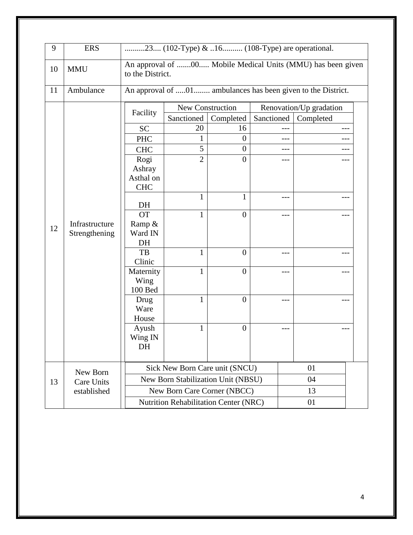| 9        | <b>ERS</b>                            | 23 (102-Type) & 16 (108-Type) are operational.                                  |                                       |                  |            |           |       |
|----------|---------------------------------------|---------------------------------------------------------------------------------|---------------------------------------|------------------|------------|-----------|-------|
| 10       | <b>MMU</b>                            | An approval of 00 Mobile Medical Units (MMU) has been given<br>to the District. |                                       |                  |            |           |       |
| 11       | Ambulance                             | An approval of 01 ambulances has been given to the District.                    |                                       |                  |            |           |       |
|          |                                       | New Construction<br>Renovation/Up gradation<br>Facility                         |                                       |                  |            |           |       |
|          |                                       |                                                                                 | Sanctioned                            | Completed        | Sanctioned | Completed |       |
|          |                                       | <b>SC</b>                                                                       | 20                                    | 16               | $---$      |           | $---$ |
|          |                                       | <b>PHC</b>                                                                      | 1                                     | $\boldsymbol{0}$ | ---        |           | ---   |
|          |                                       | <b>CHC</b>                                                                      | 5                                     | $\overline{0}$   | ---        |           |       |
|          |                                       | Rogi                                                                            | $\overline{2}$                        | $\overline{0}$   | ---        |           | ---   |
|          |                                       | Ashray                                                                          |                                       |                  |            |           |       |
|          |                                       | Asthal on                                                                       |                                       |                  |            |           |       |
|          |                                       | <b>CHC</b>                                                                      |                                       |                  |            |           |       |
|          |                                       |                                                                                 | 1                                     | 1                | $---$      |           | ---   |
|          |                                       | DH<br><b>OT</b>                                                                 |                                       | $\theta$         |            |           |       |
|          | Infrastructure<br>12<br>Strengthening | Ramp &                                                                          | 1                                     |                  | ---        |           | ---   |
|          |                                       | Ward IN                                                                         |                                       |                  |            |           |       |
|          |                                       | DH                                                                              |                                       |                  |            |           |       |
|          |                                       | TB                                                                              | $\mathbf{1}$                          | $\overline{0}$   | ---        |           | ---   |
|          |                                       | Clinic                                                                          |                                       |                  |            |           |       |
|          |                                       | Maternity                                                                       | 1                                     | $\overline{0}$   | ---        |           |       |
|          |                                       | Wing                                                                            |                                       |                  |            |           |       |
|          |                                       | 100 Bed                                                                         |                                       |                  |            |           |       |
|          |                                       | Drug                                                                            | $\mathbf{1}$                          | $\theta$         | ---        |           | ---   |
|          |                                       | Ware                                                                            |                                       |                  |            |           |       |
|          |                                       | House                                                                           |                                       |                  |            |           |       |
|          |                                       | Ayush                                                                           | $\mathbf{1}$                          | $\boldsymbol{0}$ | ---        |           | ---   |
|          |                                       | Wing IN                                                                         |                                       |                  |            |           |       |
|          |                                       | DH                                                                              |                                       |                  |            |           |       |
|          |                                       |                                                                                 |                                       |                  |            |           |       |
| New Born |                                       | Sick New Born Care unit (SNCU)                                                  |                                       |                  |            | 01        |       |
| 13       | <b>Care Units</b>                     |                                                                                 | New Born Stabilization Unit (NBSU)    |                  |            | 04        |       |
|          | established                           |                                                                                 | New Born Care Corner (NBCC)           |                  |            | 13        |       |
|          |                                       |                                                                                 | Nutrition Rehabilitation Center (NRC) |                  |            | 01        |       |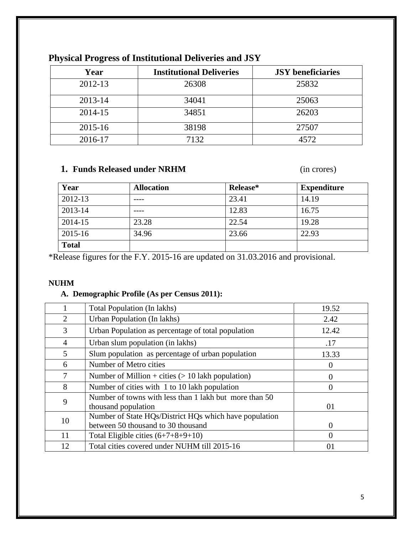| Year        | <b>Institutional Deliveries</b> | <b>JSY</b> beneficiaries |
|-------------|---------------------------------|--------------------------|
| 2012-13     | 26308                           | 25832                    |
| 2013-14     | 34041                           | 25063                    |
| 2014-15     | 34851                           | 26203                    |
| $2015 - 16$ | 38198                           | 27507                    |
| 2016-17     | 7132                            | 4572                     |

## **Physical Progress of Institutional Deliveries and JSY**

## **1. Funds Released under NRHM** (in crores)

| Year         | <b>Allocation</b> | Release* | <b>Expenditure</b> |
|--------------|-------------------|----------|--------------------|
| 2012-13      |                   | 23.41    | 14.19              |
| 2013-14      |                   | 12.83    | 16.75              |
| 2014-15      | 23.28             | 22.54    | 19.28              |
| 2015-16      | 34.96             | 23.66    | 22.93              |
| <b>Total</b> |                   |          |                    |

\*Release figures for the F.Y. 2015-16 are updated on 31.03.2016 and provisional.

#### **NUHM**

#### **A. Demographic Profile (As per Census 2011):**

|    | Total Population (In lakhs)                                                   | 19.52    |
|----|-------------------------------------------------------------------------------|----------|
| 2  | Urban Population (In lakhs)                                                   | 2.42     |
| 3  | Urban Population as percentage of total population                            | 12.42    |
| 4  | Urban slum population (in lakhs)                                              | .17      |
| 5  | Slum population as percentage of urban population                             | 13.33    |
| 6  | Number of Metro cities                                                        | $\theta$ |
| 7  | Number of Million + cities $(> 10$ lakh population)                           | 0        |
| 8  | Number of cities with 1 to 10 lakh population                                 | 0        |
| 9  | Number of towns with less than 1 lakh but more than 50<br>thousand population | 01       |
| 10 | Number of State HQs/District HQs which have population                        |          |
|    | between 50 thousand to 30 thousand                                            | $\Omega$ |
| 11 | Total Eligible cities $(6+7+8+9+10)$                                          | 0        |
| 12 | Total cities covered under NUHM till 2015-16                                  | 01       |